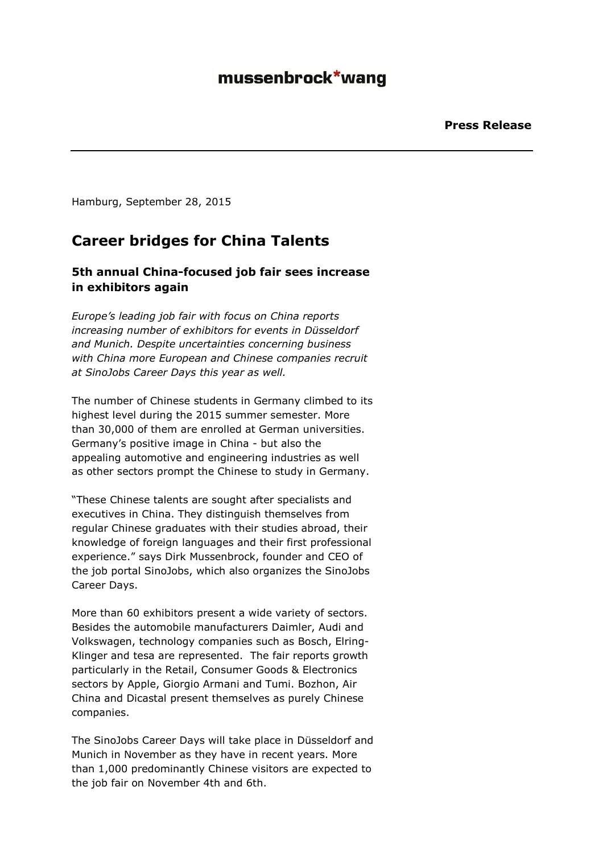## mussenbrock\*wang

Hamburg, September 28, 2015

### **Career bridges for China Talents**

### **5th annual China-focused job fair sees increase in exhibitors again**

*Europe's leading job fair with focus on China reports increasing number of exhibitors for events in Düsseldorf and Munich. Despite uncertainties concerning business with China more European and Chinese companies recruit at SinoJobs Career Days this year as well.*

The number of Chinese students in Germany climbed to its highest level during the 2015 summer semester. More than 30,000 of them are enrolled at German universities. Germany's positive image in China - but also the appealing automotive and engineering industries as well as other sectors prompt the Chinese to study in Germany.

"These Chinese talents are sought after specialists and executives in China. They distinguish themselves from regular Chinese graduates with their studies abroad, their knowledge of foreign languages and their first professional experience." says Dirk Mussenbrock, founder and CEO of the job portal SinoJobs, which also organizes the SinoJobs Career Days.

More than 60 exhibitors present a wide variety of sectors. Besides the automobile manufacturers Daimler, Audi and Volkswagen, technology companies such as Bosch, Elring-Klinger and tesa are represented. The fair reports growth particularly in the Retail, Consumer Goods & Electronics sectors by Apple, Giorgio Armani and Tumi. Bozhon, Air China and Dicastal present themselves as purely Chinese companies.

The SinoJobs Career Days will take place in Düsseldorf and Munich in November as they have in recent years. More than 1,000 predominantly Chinese visitors are expected to the job fair on November 4th and 6th.